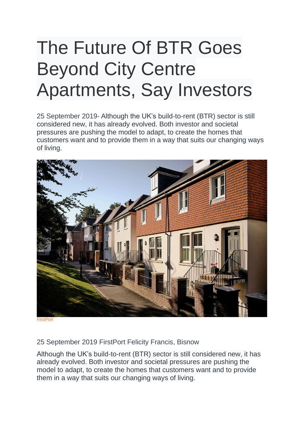## The Future Of BTR Goes Beyond City Centre Apartments, Say Investors

25 September 2019- Although the UK's build-to-rent (BTR) sector is still considered new, it has already evolved. Both investor and societal pressures are pushing the model to adapt, to create the homes that customers want and to provide them in a way that suits our changing ways of living.



*FirstPort*

## 25 September 2019 [FirstPort](https://www.bisnow.com/blogs/firstport) [Felicity Francis, Bisnow](https://www.bisnow.com/author/felicity-francis-184118)

Although the UK's build-to-rent (BTR) sector is still considered new, it has already evolved. Both investor and societal pressures are pushing the model to adapt, to create the homes that customers want and to provide them in a way that suits our changing ways of living.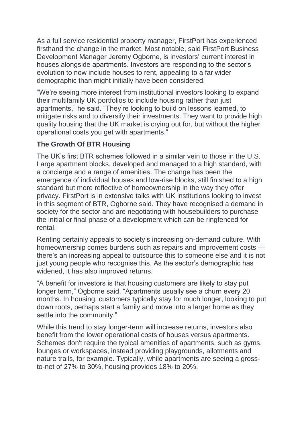As a full service residential property manager, FirstPort has experienced firsthand the change in the market. Most notable, said FirstPort Business Development Manager Jeremy Ogborne, is investors' current interest in houses alongside apartments. Investors are responding to the sector's evolution to now include houses to rent, appealing to a far wider demographic than might initially have been considered.

"We're seeing more interest from institutional investors looking to expand their multifamily UK portfolios to include housing rather than just apartments," he said. "They're looking to build on lessons learned, to mitigate risks and to diversify their investments. They want to provide high quality housing that the UK market is crying out for, but without the higher operational costs you get with apartments."

## **The Growth Of BTR Housing**

The UK's first BTR schemes followed in a similar vein to those in the U.S. Large apartment blocks, developed and managed to a high standard, with a concierge and a range of amenities. The change has been the emergence of individual houses and low-rise blocks, still finished to a high standard but more reflective of homeownership in the way they offer privacy. FirstPort is in extensive talks with UK institutions looking to invest in this segment of BTR, Ogborne said. They have recognised a demand in society for the sector and are negotiating with housebuilders to purchase the initial or final phase of a development which can be ringfenced for rental.

Renting certainly appeals to society's increasing on-demand culture. With homeownership comes burdens such as repairs and improvement costs there's an increasing appeal to outsource this to someone else and it is not just young people who recognise this. As the sector's demographic has widened, it has also improved returns.

"A benefit for investors is that housing customers are likely to stay put longer term," Ogborne said. "Apartments usually see a churn every 20 months. In housing, customers typically stay for much longer, looking to put down roots, perhaps start a family and move into a larger home as they settle into the community."

While this trend to stay longer-term will increase returns, investors also benefit from the lower operational costs of houses versus apartments. Schemes don't require the typical amenities of apartments, such as gyms, lounges or workspaces, instead providing playgrounds, allotments and nature trails, for example. Typically, while apartments are seeing a grossto-net of 27% to 30%, housing provides 18% to 20%.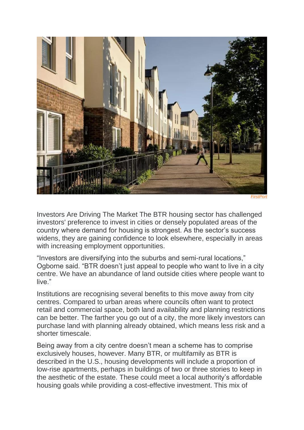

*FirstPort*

Investors Are Driving The Market The BTR housing sector has challenged investors' preference to invest in cities or densely populated areas of the country where demand for housing is strongest. As the sector's success widens, they are gaining confidence to look elsewhere, especially in areas with increasing employment opportunities.

"Investors are diversifying into the suburbs and semi-rural locations," Ogborne said. "BTR doesn't just appeal to people who want to live in a city centre. We have an abundance of land outside cities where people want to live."

Institutions are recognising several benefits to this move away from city centres. Compared to urban areas where councils often want to protect retail and commercial space, both land availability and planning restrictions can be better. The farther you go out of a city, the more likely investors can purchase land with planning already obtained, which means less risk and a shorter timescale.

Being away from a city centre doesn't mean a scheme has to comprise exclusively houses, however. Many BTR, or multifamily as BTR is described in the U.S., housing developments will include a proportion of low-rise apartments, perhaps in buildings of two or three stories to keep in the aesthetic of the estate. These could meet a local authority's affordable housing goals while providing a cost-effective investment. This mix of